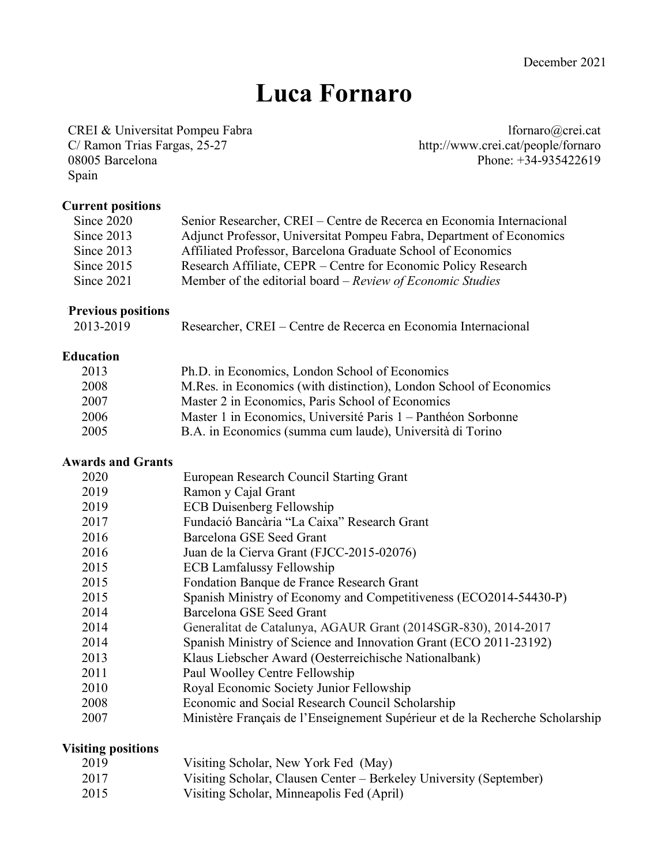# **Luca Fornaro**

CREI & Universitat Pompeu Fabra lfornaro@crei.cat<br>
C/ Ramon Trias Fargas, 25-27 http://www.crei.cat/people/fornaro 08005 Barcelona Phone: +34-935422619 Spain

http://www.crei.cat/people/fornaro

#### **Current positions**

| Since 2020   | Senior Researcher, CREI – Centre de Recerca en Economia Internacional |
|--------------|-----------------------------------------------------------------------|
| Since 2013   | Adjunct Professor, Universitat Pompeu Fabra, Department of Economics  |
| Since 2013   | Affiliated Professor, Barcelona Graduate School of Economics          |
| Since $2015$ | Research Affiliate, CEPR – Centre for Economic Policy Research        |
| Since $2021$ | Member of the editorial board – Review of Economic Studies            |

## **Previous positions**

| 2013-2019 | Researcher, CREI – Centre de Recerca en Economia Internacional |  |  |  |
|-----------|----------------------------------------------------------------|--|--|--|
|-----------|----------------------------------------------------------------|--|--|--|

## **Education**

| 2013 | Ph.D. in Economics, London School of Economics                      |
|------|---------------------------------------------------------------------|
| 2008 | M. Res. in Economics (with distinction), London School of Economics |
| 2007 | Master 2 in Economics, Paris School of Economics                    |
| 2006 | Master 1 in Economics, Université Paris 1 – Panthéon Sorbonne       |
| 2005 | B.A. in Economics (summa cum laude), Università di Torino           |

#### **Awards and Grants**

| 2020 | European Research Council Starting Grant                                      |
|------|-------------------------------------------------------------------------------|
| 2019 | Ramon y Cajal Grant                                                           |
| 2019 | <b>ECB Duisenberg Fellowship</b>                                              |
| 2017 | Fundació Bancària "La Caixa" Research Grant                                   |
| 2016 | Barcelona GSE Seed Grant                                                      |
| 2016 | Juan de la Cierva Grant (FJCC-2015-02076)                                     |
| 2015 | <b>ECB Lamfalussy Fellowship</b>                                              |
| 2015 | Fondation Banque de France Research Grant                                     |
| 2015 | Spanish Ministry of Economy and Competitiveness (ECO2014-54430-P)             |
| 2014 | Barcelona GSE Seed Grant                                                      |
| 2014 | Generalitat de Catalunya, AGAUR Grant (2014SGR-830), 2014-2017                |
| 2014 | Spanish Ministry of Science and Innovation Grant (ECO 2011-23192)             |
| 2013 | Klaus Liebscher Award (Oesterreichische Nationalbank)                         |
| 2011 | Paul Woolley Centre Fellowship                                                |
| 2010 | Royal Economic Society Junior Fellowship                                      |
| 2008 | Economic and Social Research Council Scholarship                              |
| 2007 | Ministère Français de l'Enseignement Supérieur et de la Recherche Scholarship |
|      |                                                                               |

## **Visiting positions**

| 2019 | Visiting Scholar, New York Fed (May) |  |
|------|--------------------------------------|--|
|------|--------------------------------------|--|

- 2017 Visiting Scholar, Clausen Center Berkeley University (September)
- 2015 Visiting Scholar, Minneapolis Fed (April)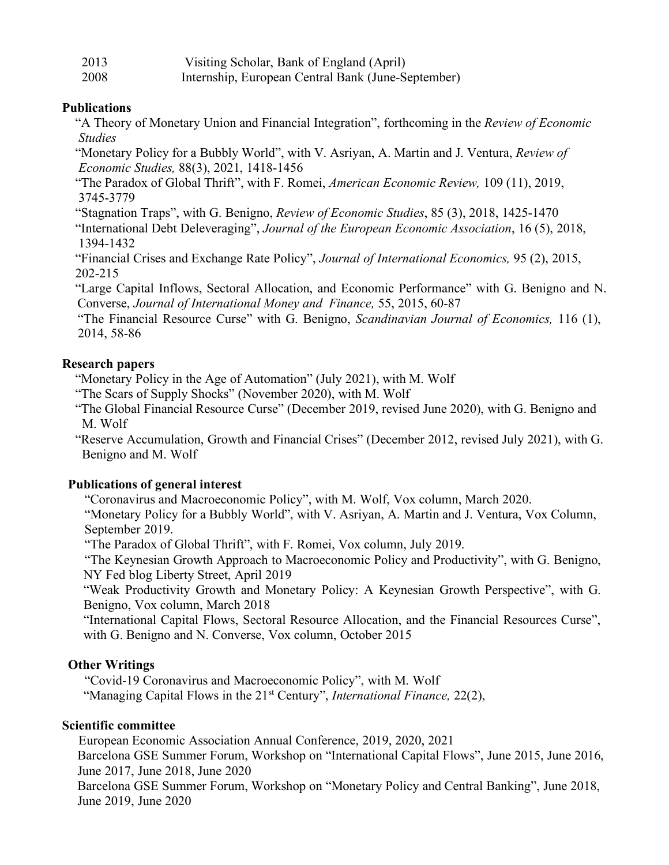| 2013 | Visiting Scholar, Bank of England (April)          |
|------|----------------------------------------------------|
| 2008 | Internship, European Central Bank (June-September) |

#### **Publications**

"A Theory of Monetary Union and Financial Integration", forthcoming in the *Review of Economic Studies*

"Monetary Policy for a Bubbly World", with V. Asriyan, A. Martin and J. Ventura, *Review of Economic Studies,* 88(3), 2021, 1418-1456

"The Paradox of Global Thrift", with F. Romei, *American Economic Review,* 109 (11), 2019, 3745-3779

"Stagnation Traps", with G. Benigno, *Review of Economic Studies*, 85 (3), 2018, 1425-1470

 "International Debt Deleveraging", *Journal of the European Economic Association*, 16 (5), 2018, 1394-1432

 "Financial Crises and Exchange Rate Policy", *Journal of International Economics,* 95 (2), 2015, 202-215

 "Large Capital Inflows, Sectoral Allocation, and Economic Performance" with G. Benigno and N. Converse, *Journal of International Money and Finance,* 55, 2015, 60-87

"The Financial Resource Curse" with G. Benigno, *Scandinavian Journal of Economics,* 116 (1), 2014, 58-86

#### **Research papers**

"Monetary Policy in the Age of Automation" (July 2021), with M. Wolf

"The Scars of Supply Shocks" (November 2020), with M. Wolf

"The Global Financial Resource Curse" (December 2019, revised June 2020), with G. Benigno and M. Wolf

 "Reserve Accumulation, Growth and Financial Crises" (December 2012, revised July 2021), with G. Benigno and M. Wolf

#### **Publications of general interest**

"Coronavirus and Macroeconomic Policy", with M. Wolf, Vox column, March 2020.

 "Monetary Policy for a Bubbly World", with V. Asriyan, A. Martin and J. Ventura, Vox Column, September 2019.

"The Paradox of Global Thrift", with F. Romei, Vox column, July 2019.

 "The Keynesian Growth Approach to Macroeconomic Policy and Productivity", with G. Benigno, NY Fed blog Liberty Street, April 2019

"Weak Productivity Growth and Monetary Policy: A Keynesian Growth Perspective", with G. Benigno, Vox column, March 2018

"International Capital Flows, Sectoral Resource Allocation, and the Financial Resources Curse", with G. Benigno and N. Converse, Vox column, October 2015

## **Other Writings**

"Covid-19 Coronavirus and Macroeconomic Policy", with M. Wolf "Managing Capital Flows in the 21st Century", *International Finance,* 22(2),

#### **Scientific committee**

European Economic Association Annual Conference, 2019, 2020, 2021

Barcelona GSE Summer Forum, Workshop on "International Capital Flows", June 2015, June 2016, June 2017, June 2018, June 2020

Barcelona GSE Summer Forum, Workshop on "Monetary Policy and Central Banking", June 2018, June 2019, June 2020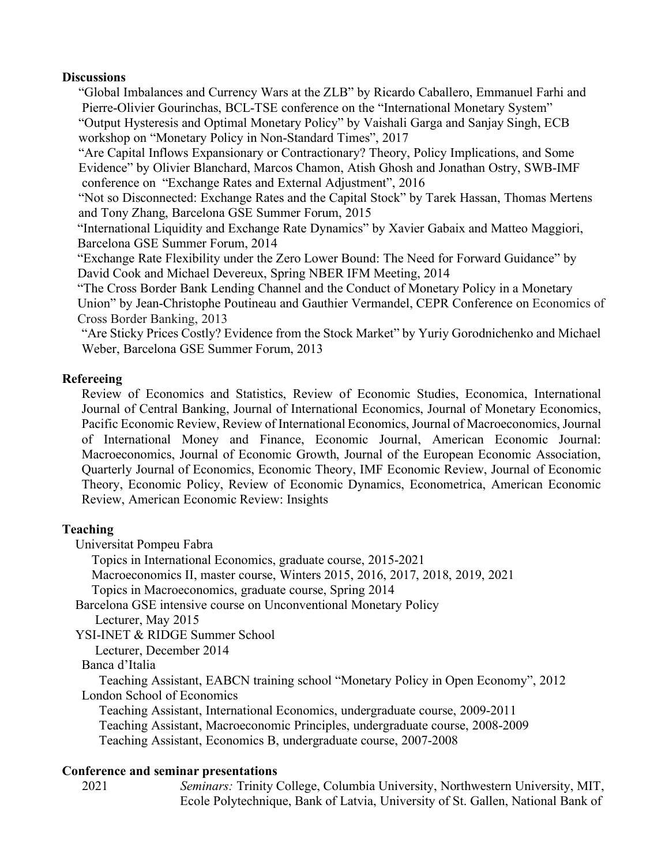#### **Discussions**

"Global Imbalances and Currency Wars at the ZLB" by Ricardo Caballero, Emmanuel Farhi and Pierre-Olivier Gourinchas, BCL-TSE conference on the "International Monetary System" "Output Hysteresis and Optimal Monetary Policy" by Vaishali Garga and Sanjay Singh, ECB workshop on "Monetary Policy in Non-Standard Times", 2017

"Are Capital Inflows Expansionary or Contractionary? Theory, Policy Implications, and Some Evidence" by Olivier Blanchard, Marcos Chamon, Atish Ghosh and Jonathan Ostry, SWB-IMF conference on "Exchange Rates and External Adjustment", 2016

"Not so Disconnected: Exchange Rates and the Capital Stock" by Tarek Hassan, Thomas Mertens and Tony Zhang, Barcelona GSE Summer Forum, 2015

"International Liquidity and Exchange Rate Dynamics" by Xavier Gabaix and Matteo Maggiori, Barcelona GSE Summer Forum, 2014

"Exchange Rate Flexibility under the Zero Lower Bound: The Need for Forward Guidance" by David Cook and Michael Devereux, Spring NBER IFM Meeting, 2014

"The Cross Border Bank Lending Channel and the Conduct of Monetary Policy in a Monetary Union" by Jean-Christophe Poutineau and Gauthier Vermandel, CEPR Conference on Economics of Cross Border Banking, 2013

"Are Sticky Prices Costly? Evidence from the Stock Market" by Yuriy Gorodnichenko and Michael Weber, Barcelona GSE Summer Forum, 2013

## **Refereeing**

Review of Economics and Statistics, Review of Economic Studies, Economica, International Journal of Central Banking, Journal of International Economics, Journal of Monetary Economics, Pacific Economic Review, Review of International Economics, Journal of Macroeconomics, Journal of International Money and Finance, Economic Journal, American Economic Journal: Macroeconomics, Journal of Economic Growth, Journal of the European Economic Association, Quarterly Journal of Economics, Economic Theory, IMF Economic Review, Journal of Economic Theory, Economic Policy, Review of Economic Dynamics, Econometrica, American Economic Review, American Economic Review: Insights

## **Teaching**

Universitat Pompeu Fabra

Topics in International Economics, graduate course, 2015-2021

Macroeconomics II, master course, Winters 2015, 2016, 2017, 2018, 2019, 2021

Topics in Macroeconomics, graduate course, Spring 2014

 Barcelona GSE intensive course on Unconventional Monetary Policy Lecturer, May 2015

YSI-INET & RIDGE Summer School

Lecturer, December 2014

Banca d'Italia

Teaching Assistant, EABCN training school "Monetary Policy in Open Economy", 2012 London School of Economics

Teaching Assistant, International Economics, undergraduate course, 2009-2011 Teaching Assistant, Macroeconomic Principles, undergraduate course, 2008-2009 Teaching Assistant, Economics B, undergraduate course, 2007-2008

## **Conference and seminar presentations**

 2021 *Seminars:* Trinity College, Columbia University, Northwestern University, MIT, Ecole Polytechnique, Bank of Latvia, University of St. Gallen, National Bank of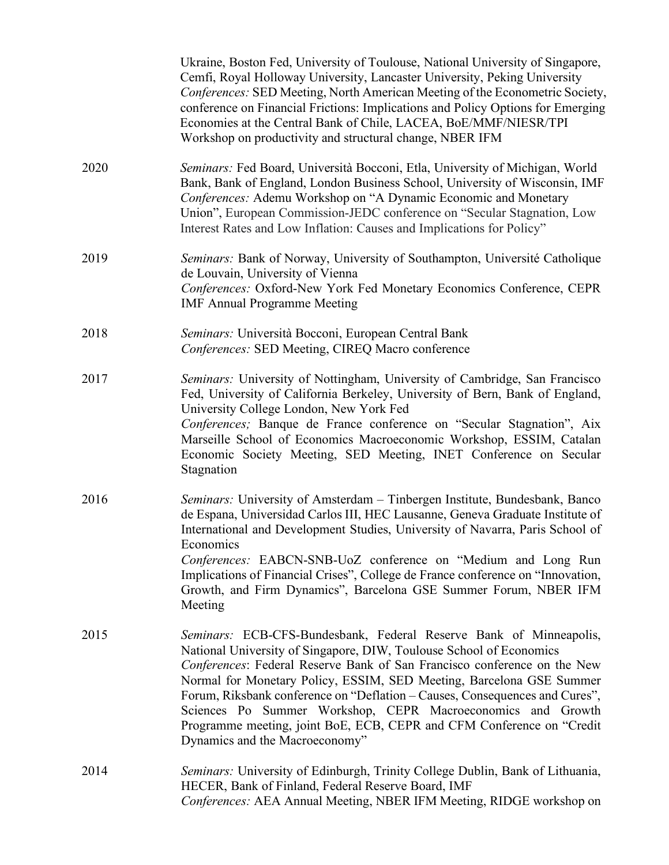|      | Ukraine, Boston Fed, University of Toulouse, National University of Singapore,<br>Cemfi, Royal Holloway University, Lancaster University, Peking University<br>Conferences: SED Meeting, North American Meeting of the Econometric Society,<br>conference on Financial Frictions: Implications and Policy Options for Emerging<br>Economies at the Central Bank of Chile, LACEA, BoE/MMF/NIESR/TPI<br>Workshop on productivity and structural change, NBER IFM                                                                                          |
|------|---------------------------------------------------------------------------------------------------------------------------------------------------------------------------------------------------------------------------------------------------------------------------------------------------------------------------------------------------------------------------------------------------------------------------------------------------------------------------------------------------------------------------------------------------------|
| 2020 | Seminars: Fed Board, Università Bocconi, Etla, University of Michigan, World<br>Bank, Bank of England, London Business School, University of Wisconsin, IMF<br>Conferences: Ademu Workshop on "A Dynamic Economic and Monetary<br>Union", European Commission-JEDC conference on "Secular Stagnation, Low<br>Interest Rates and Low Inflation: Causes and Implications for Policy"                                                                                                                                                                      |
| 2019 | Seminars: Bank of Norway, University of Southampton, Université Catholique<br>de Louvain, University of Vienna<br>Conferences: Oxford-New York Fed Monetary Economics Conference, CEPR<br><b>IMF Annual Programme Meeting</b>                                                                                                                                                                                                                                                                                                                           |
| 2018 | Seminars: Università Bocconi, European Central Bank<br>Conferences: SED Meeting, CIREQ Macro conference                                                                                                                                                                                                                                                                                                                                                                                                                                                 |
| 2017 | Seminars: University of Nottingham, University of Cambridge, San Francisco<br>Fed, University of California Berkeley, University of Bern, Bank of England,<br>University College London, New York Fed<br>Conferences; Banque de France conference on "Secular Stagnation", Aix<br>Marseille School of Economics Macroeconomic Workshop, ESSIM, Catalan<br>Economic Society Meeting, SED Meeting, INET Conference on Secular<br>Stagnation                                                                                                               |
| 2016 | Seminars: University of Amsterdam - Tinbergen Institute, Bundesbank, Banco<br>de Espana, Universidad Carlos III, HEC Lausanne, Geneva Graduate Institute of<br>International and Development Studies, University of Navarra, Paris School of<br>Economics<br>Conferences: EABCN-SNB-UoZ conference on "Medium and Long Run<br>Implications of Financial Crises", College de France conference on "Innovation,<br>Growth, and Firm Dynamics", Barcelona GSE Summer Forum, NBER IFM<br>Meeting                                                            |
| 2015 | Seminars: ECB-CFS-Bundesbank, Federal Reserve Bank of Minneapolis,<br>National University of Singapore, DIW, Toulouse School of Economics<br>Conferences: Federal Reserve Bank of San Francisco conference on the New<br>Normal for Monetary Policy, ESSIM, SED Meeting, Barcelona GSE Summer<br>Forum, Riksbank conference on "Deflation – Causes, Consequences and Cures",<br>Sciences Po Summer Workshop, CEPR Macroeconomics and Growth<br>Programme meeting, joint BoE, ECB, CEPR and CFM Conference on "Credit"<br>Dynamics and the Macroeconomy" |
| 2014 | Seminars: University of Edinburgh, Trinity College Dublin, Bank of Lithuania,<br>HECER, Bank of Finland, Federal Reserve Board, IMF<br>Conferences: AEA Annual Meeting, NBER IFM Meeting, RIDGE workshop on                                                                                                                                                                                                                                                                                                                                             |